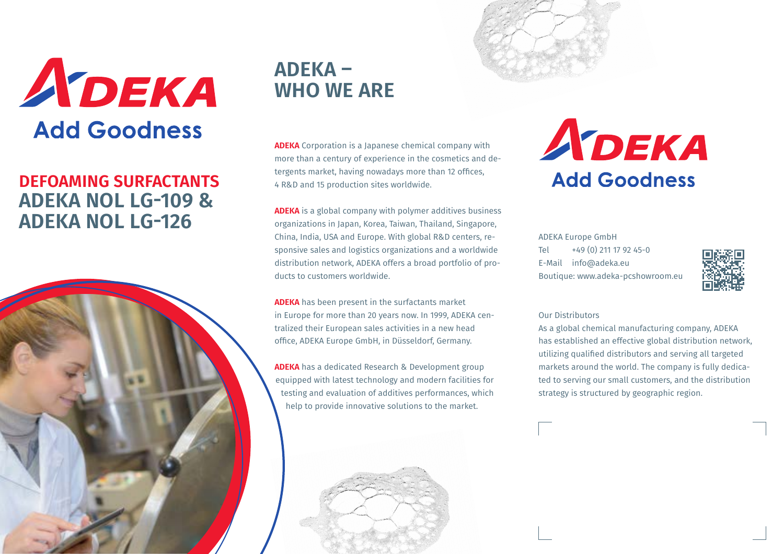

## **DEFOAMING SURFACTANTS ADEKA NOL LG-109 & ADEKA NOL LG-126**



## **ADEKA – WHO WE ARE**

**ADEKA** Corporation is a Japanese chemical company with more than a century of experience in the cosmetics and detergents market, having nowadays more than 12 offices, 4 R&D and 15 production sites worldwide.

**ADEKA** is a global company with polymer additives business organizations in Japan, Korea, Taiwan, Thailand, Singapore, China, India, USA and Europe. With global R&D centers, responsive sales and logistics organizations and a worldwide distribution network, ADEKA offers a broad portfolio of products to customers worldwide.

**ADEKA** has been present in the surfactants market in Europe for more than 20 years now. In 1999, ADEKA centralized their European sales activities in a new head office, ADEKA Europe GmbH, in Düsseldorf, Germany.

**ADEKA** has a dedicated Research & Development group equipped with latest technology and modern facilities for testing and evaluation of additives performances, which help to provide innovative solutions to the market.





ADEKA Europe GmbH Tel +49 (0) 211 17 92 45-0 E-Mail info@adeka.eu Boutique: www.adeka-pcshowroom.eu



#### Our Distributors

As a global chemical manufacturing company, ADEKA has established an effective global distribution network, utilizing qualified distributors and serving all targeted markets around the world. The company is fully dedicated to serving our small customers, and the distribution strategy is structured by geographic region.